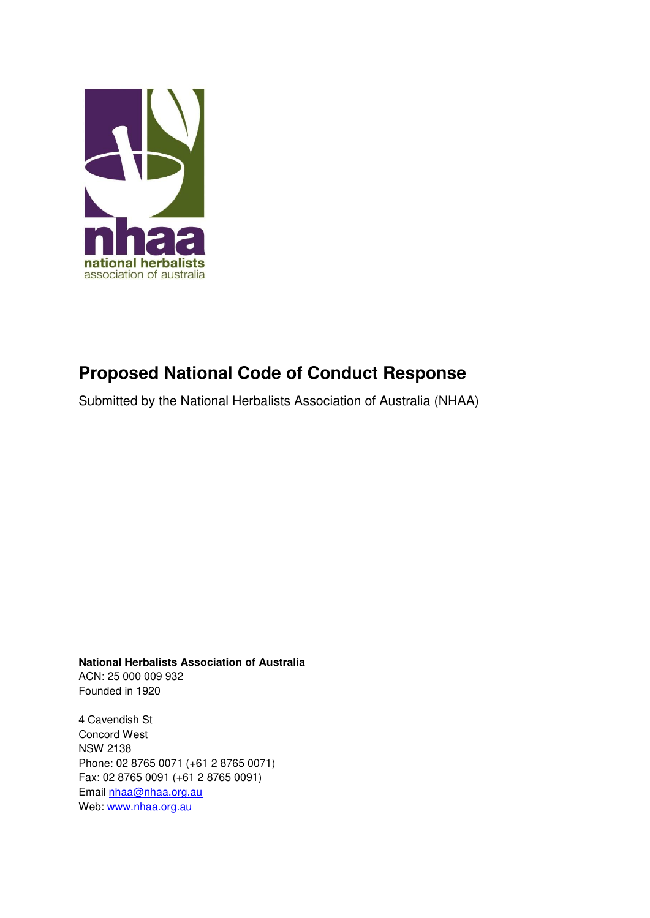

# **Proposed National Code of Conduct Response**

Submitted by the National Herbalists Association of Australia (NHAA)

**National Herbalists Association of Australia**  ACN: 25 000 009 932 Founded in 1920

4 Cavendish St Concord West NSW 2138 Phone: 02 8765 0071 (+61 2 8765 0071) Fax: 02 8765 0091 (+61 2 8765 0091) Email [nhaa@nhaa.org.au](mailto:nhaa@nhaa.org.au) Web: [www.nhaa.org.au](http://www.nhaa.org.au/)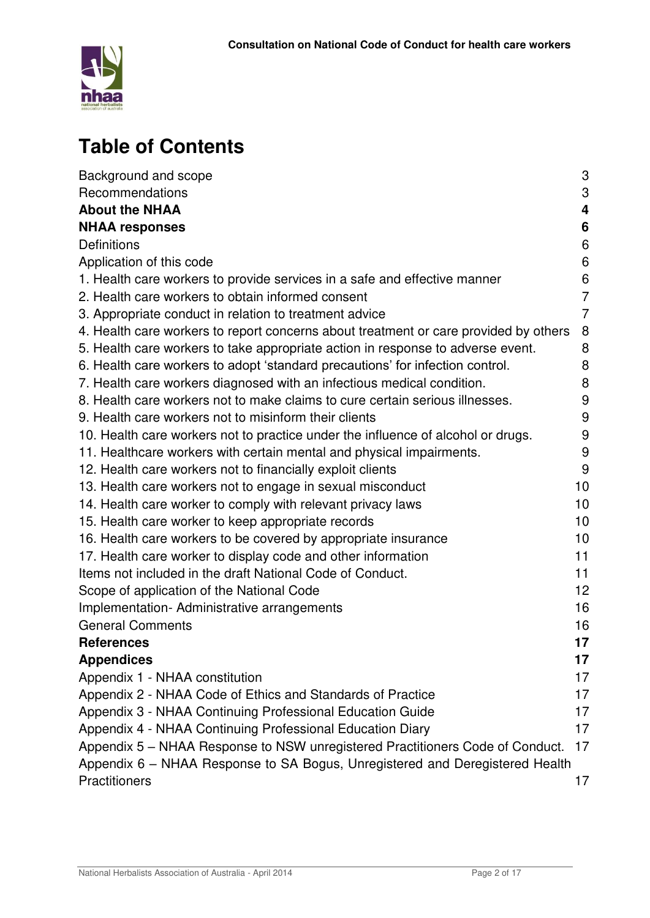

# **Table of Contents**

| Background and scope                                                                 | 3              |
|--------------------------------------------------------------------------------------|----------------|
| Recommendations                                                                      | 3              |
| <b>About the NHAA</b>                                                                | 4              |
| <b>NHAA responses</b>                                                                | 6              |
| <b>Definitions</b>                                                                   | 6              |
| Application of this code                                                             | 6              |
| 1. Health care workers to provide services in a safe and effective manner            | 6              |
| 2. Health care workers to obtain informed consent                                    | $\overline{7}$ |
| 3. Appropriate conduct in relation to treatment advice                               | $\overline{7}$ |
| 4. Health care workers to report concerns about treatment or care provided by others | 8              |
| 5. Health care workers to take appropriate action in response to adverse event.      | 8              |
| 6. Health care workers to adopt 'standard precautions' for infection control.        | 8              |
| 7. Health care workers diagnosed with an infectious medical condition.               | 8              |
| 8. Health care workers not to make claims to cure certain serious illnesses.         | 9              |
| 9. Health care workers not to misinform their clients                                | 9              |
| 10. Health care workers not to practice under the influence of alcohol or drugs.     | 9              |
| 11. Healthcare workers with certain mental and physical impairments.                 | 9              |
| 12. Health care workers not to financially exploit clients                           | 9              |
| 13. Health care workers not to engage in sexual misconduct                           | 10             |
| 14. Health care worker to comply with relevant privacy laws                          | 10             |
| 15. Health care worker to keep appropriate records                                   | 10             |
| 16. Health care workers to be covered by appropriate insurance                       | 10             |
| 17. Health care worker to display code and other information                         | 11             |
| Items not included in the draft National Code of Conduct.                            | 11             |
| Scope of application of the National Code                                            | 12             |
| Implementation-Administrative arrangements                                           | 16             |
| <b>General Comments</b>                                                              | 16             |
| <b>References</b>                                                                    | 17             |
| <b>Appendices</b>                                                                    | 17             |
| Appendix 1 - NHAA constitution                                                       | 17             |
| Appendix 2 - NHAA Code of Ethics and Standards of Practice                           | 17             |
| Appendix 3 - NHAA Continuing Professional Education Guide                            | 17             |
| Appendix 4 - NHAA Continuing Professional Education Diary                            | 17             |
| Appendix 5 - NHAA Response to NSW unregistered Practitioners Code of Conduct.        | 17             |
| Appendix 6 - NHAA Response to SA Bogus, Unregistered and Deregistered Health         |                |
| Practitioners                                                                        | 17             |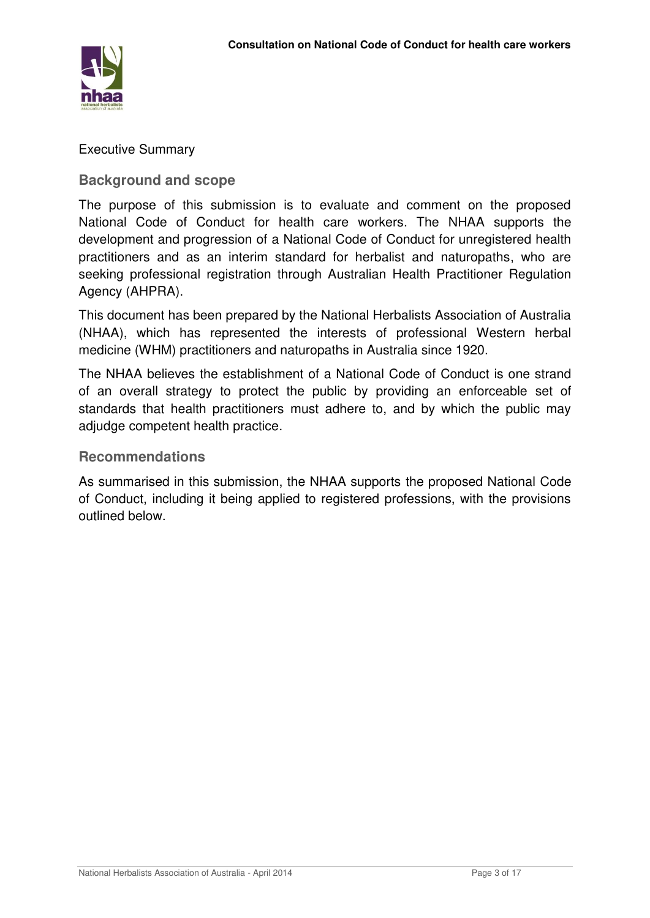

Executive Summary

**Background and scope** 

The purpose of this submission is to evaluate and comment on the proposed National Code of Conduct for health care workers. The NHAA supports the development and progression of a National Code of Conduct for unregistered health practitioners and as an interim standard for herbalist and naturopaths, who are seeking professional registration through Australian Health Practitioner Regulation Agency (AHPRA).

This document has been prepared by the National Herbalists Association of Australia (NHAA), which has represented the interests of professional Western herbal medicine (WHM) practitioners and naturopaths in Australia since 1920.

The NHAA believes the establishment of a National Code of Conduct is one strand of an overall strategy to protect the public by providing an enforceable set of standards that health practitioners must adhere to, and by which the public may adjudge competent health practice.

# **Recommendations**

As summarised in this submission, the NHAA supports the proposed National Code of Conduct, including it being applied to registered professions, with the provisions outlined below.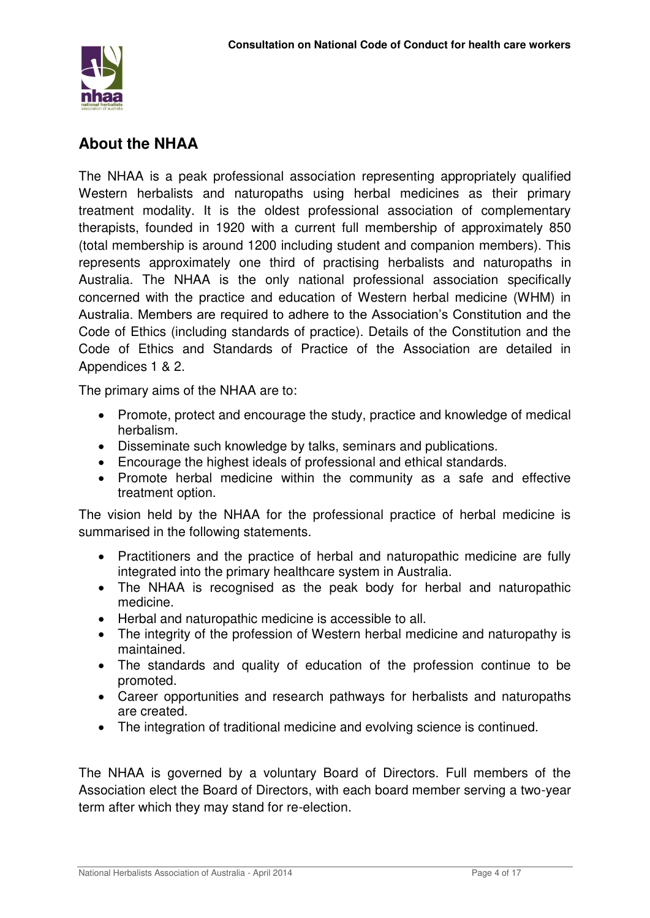

# **About the NHAA**

The NHAA is a peak professional association representing appropriately qualified Western herbalists and naturopaths using herbal medicines as their primary treatment modality. It is the oldest professional association of complementary therapists, founded in 1920 with a current full membership of approximately 850 (total membership is around 1200 including student and companion members). This represents approximately one third of practising herbalists and naturopaths in Australia. The NHAA is the only national professional association specifically concerned with the practice and education of Western herbal medicine (WHM) in Australia. Members are required to adhere to the Association's Constitution and the Code of Ethics (including standards of practice). Details of the Constitution and the Code of Ethics and Standards of Practice of the Association are detailed in Appendices 1 & 2.

The primary aims of the NHAA are to:

- Promote, protect and encourage the study, practice and knowledge of medical herbalism.
- Disseminate such knowledge by talks, seminars and publications.
- Encourage the highest ideals of professional and ethical standards.
- Promote herbal medicine within the community as a safe and effective treatment option.

The vision held by the NHAA for the professional practice of herbal medicine is summarised in the following statements.

- Practitioners and the practice of herbal and naturopathic medicine are fully integrated into the primary healthcare system in Australia.
- The NHAA is recognised as the peak body for herbal and naturopathic medicine.
- Herbal and naturopathic medicine is accessible to all.
- The integrity of the profession of Western herbal medicine and naturopathy is maintained.
- The standards and quality of education of the profession continue to be promoted.
- Career opportunities and research pathways for herbalists and naturopaths are created.
- The integration of traditional medicine and evolving science is continued.

The NHAA is governed by a voluntary Board of Directors. Full members of the Association elect the Board of Directors, with each board member serving a two-year term after which they may stand for re-election.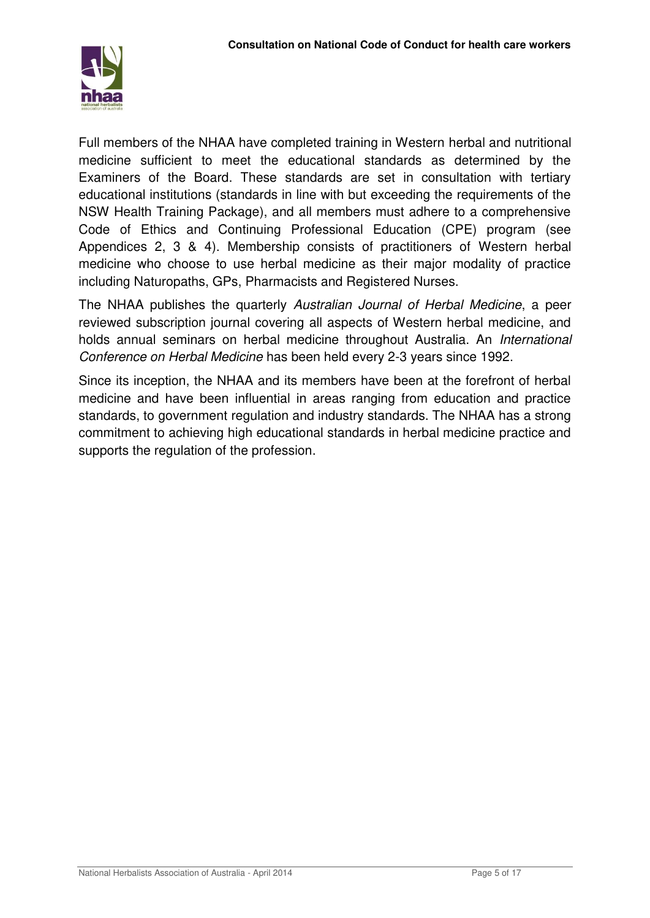

Full members of the NHAA have completed training in Western herbal and nutritional medicine sufficient to meet the educational standards as determined by the Examiners of the Board. These standards are set in consultation with tertiary educational institutions (standards in line with but exceeding the requirements of the NSW Health Training Package), and all members must adhere to a comprehensive Code of Ethics and Continuing Professional Education (CPE) program (see Appendices 2, 3 & 4). Membership consists of practitioners of Western herbal medicine who choose to use herbal medicine as their major modality of practice including Naturopaths, GPs, Pharmacists and Registered Nurses.

The NHAA publishes the quarterly *Australian Journal of Herbal Medicine*, a peer reviewed subscription journal covering all aspects of Western herbal medicine, and holds annual seminars on herbal medicine throughout Australia. An *International Conference on Herbal Medicine* has been held every 2-3 years since 1992.

Since its inception, the NHAA and its members have been at the forefront of herbal medicine and have been influential in areas ranging from education and practice standards, to government regulation and industry standards. The NHAA has a strong commitment to achieving high educational standards in herbal medicine practice and supports the regulation of the profession.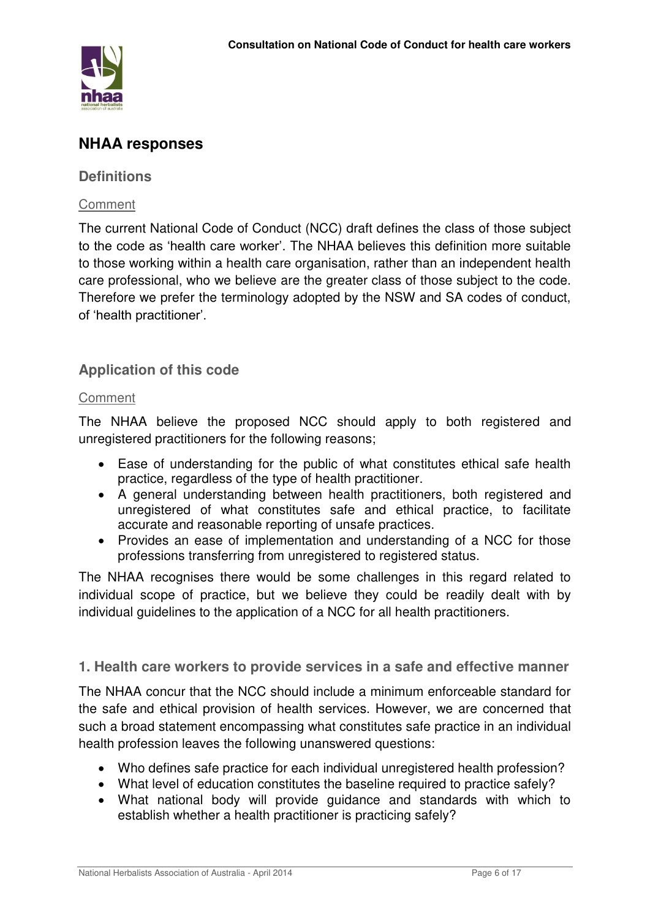

# **NHAA responses**

# **Definitions**

# **Comment**

The current National Code of Conduct (NCC) draft defines the class of those subject to the code as 'health care worker'. The NHAA believes this definition more suitable to those working within a health care organisation, rather than an independent health care professional, who we believe are the greater class of those subject to the code. Therefore we prefer the terminology adopted by the NSW and SA codes of conduct, of 'health practitioner'.

# **Application of this code**

# **Comment**

The NHAA believe the proposed NCC should apply to both registered and unregistered practitioners for the following reasons;

- Ease of understanding for the public of what constitutes ethical safe health practice, regardless of the type of health practitioner.
- A general understanding between health practitioners, both registered and unregistered of what constitutes safe and ethical practice, to facilitate accurate and reasonable reporting of unsafe practices.
- Provides an ease of implementation and understanding of a NCC for those professions transferring from unregistered to registered status.

The NHAA recognises there would be some challenges in this regard related to individual scope of practice, but we believe they could be readily dealt with by individual guidelines to the application of a NCC for all health practitioners.

**1. Health care workers to provide services in a safe and effective manner** 

The NHAA concur that the NCC should include a minimum enforceable standard for the safe and ethical provision of health services. However, we are concerned that such a broad statement encompassing what constitutes safe practice in an individual health profession leaves the following unanswered questions:

- Who defines safe practice for each individual unregistered health profession?
- What level of education constitutes the baseline required to practice safely?
- What national body will provide guidance and standards with which to establish whether a health practitioner is practicing safely?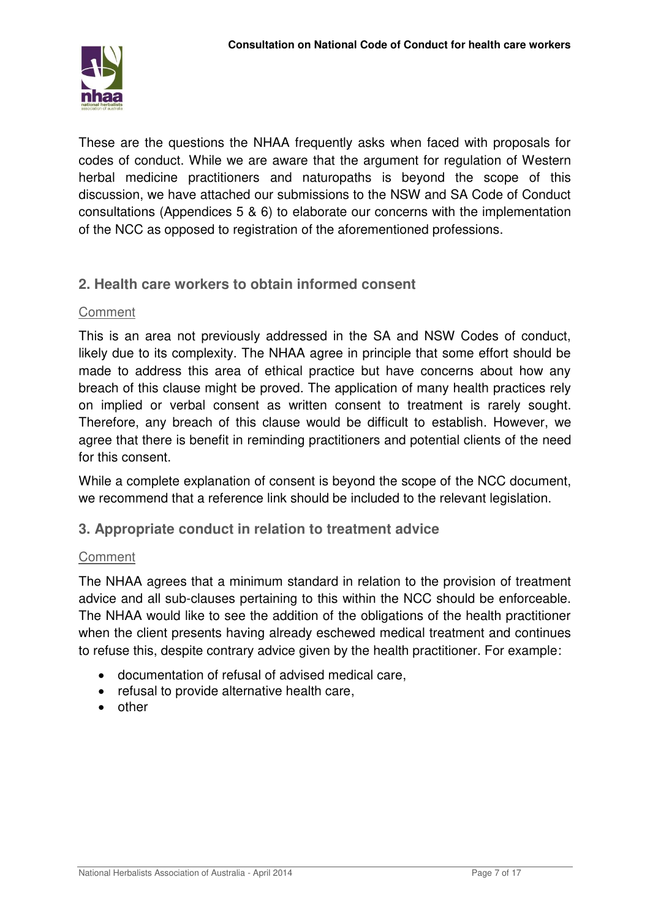

These are the questions the NHAA frequently asks when faced with proposals for codes of conduct. While we are aware that the argument for regulation of Western herbal medicine practitioners and naturopaths is beyond the scope of this discussion, we have attached our submissions to the NSW and SA Code of Conduct consultations (Appendices 5 & 6) to elaborate our concerns with the implementation of the NCC as opposed to registration of the aforementioned professions.

# **2. Health care workers to obtain informed consent**

# Comment

This is an area not previously addressed in the SA and NSW Codes of conduct, likely due to its complexity. The NHAA agree in principle that some effort should be made to address this area of ethical practice but have concerns about how any breach of this clause might be proved. The application of many health practices rely on implied or verbal consent as written consent to treatment is rarely sought. Therefore, any breach of this clause would be difficult to establish. However, we agree that there is benefit in reminding practitioners and potential clients of the need for this consent.

While a complete explanation of consent is beyond the scope of the NCC document, we recommend that a reference link should be included to the relevant legislation.

# **3. Appropriate conduct in relation to treatment advice**

# **Comment**

The NHAA agrees that a minimum standard in relation to the provision of treatment advice and all sub-clauses pertaining to this within the NCC should be enforceable. The NHAA would like to see the addition of the obligations of the health practitioner when the client presents having already eschewed medical treatment and continues to refuse this, despite contrary advice given by the health practitioner. For example:

- documentation of refusal of advised medical care,
- refusal to provide alternative health care,
- other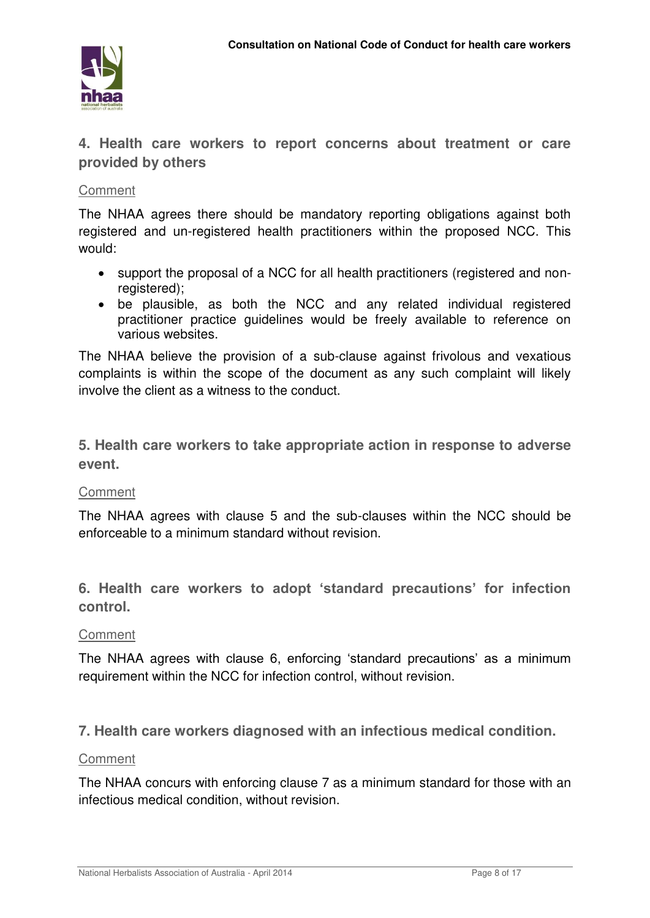

**4. Health care workers to report concerns about treatment or care provided by others** 

# **Comment**

The NHAA agrees there should be mandatory reporting obligations against both registered and un-registered health practitioners within the proposed NCC. This would:

- support the proposal of a NCC for all health practitioners (registered and nonregistered):
- be plausible, as both the NCC and any related individual registered practitioner practice guidelines would be freely available to reference on various websites.

The NHAA believe the provision of a sub-clause against frivolous and vexatious complaints is within the scope of the document as any such complaint will likely involve the client as a witness to the conduct.

**5. Health care workers to take appropriate action in response to adverse event.** 

# **Comment**

The NHAA agrees with clause 5 and the sub-clauses within the NCC should be enforceable to a minimum standard without revision.

**6. Health care workers to adopt 'standard precautions' for infection control.** 

# Comment

The NHAA agrees with clause 6, enforcing 'standard precautions' as a minimum requirement within the NCC for infection control, without revision.

**7. Health care workers diagnosed with an infectious medical condition.**

#### **Comment**

The NHAA concurs with enforcing clause 7 as a minimum standard for those with an infectious medical condition, without revision.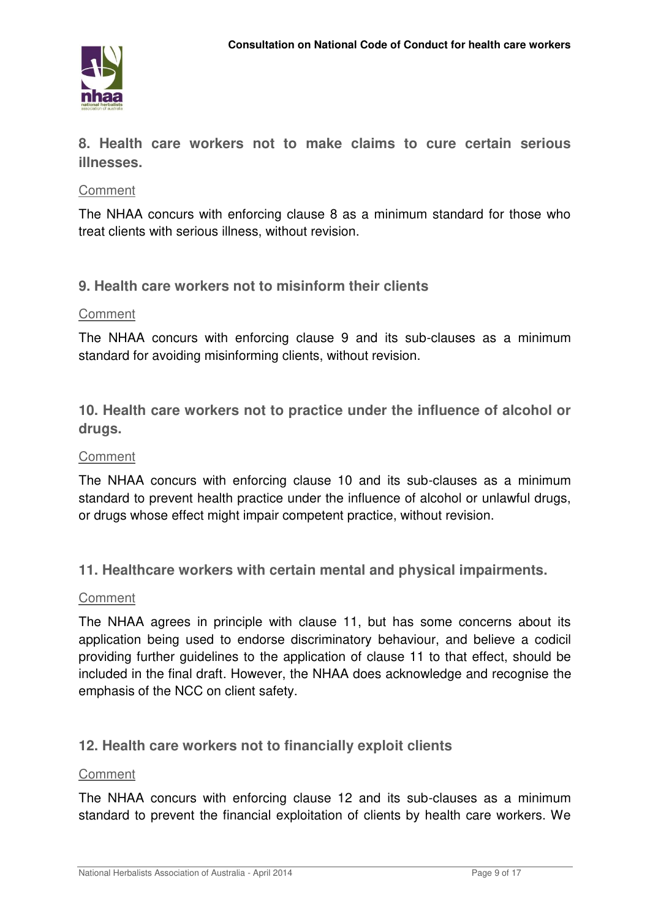

**8. Health care workers not to make claims to cure certain serious illnesses.** 

# **Comment**

The NHAA concurs with enforcing clause 8 as a minimum standard for those who treat clients with serious illness, without revision.

# **9. Health care workers not to misinform their clients**

#### **Comment**

The NHAA concurs with enforcing clause 9 and its sub-clauses as a minimum standard for avoiding misinforming clients, without revision.

**10. Health care workers not to practice under the influence of alcohol or drugs.**

#### Comment

The NHAA concurs with enforcing clause 10 and its sub-clauses as a minimum standard to prevent health practice under the influence of alcohol or unlawful drugs, or drugs whose effect might impair competent practice, without revision.

**11. Healthcare workers with certain mental and physical impairments.** 

#### **Comment**

The NHAA agrees in principle with clause 11, but has some concerns about its application being used to endorse discriminatory behaviour, and believe a codicil providing further guidelines to the application of clause 11 to that effect, should be included in the final draft. However, the NHAA does acknowledge and recognise the emphasis of the NCC on client safety.

# **12. Health care workers not to financially exploit clients**

#### Comment

The NHAA concurs with enforcing clause 12 and its sub-clauses as a minimum standard to prevent the financial exploitation of clients by health care workers. We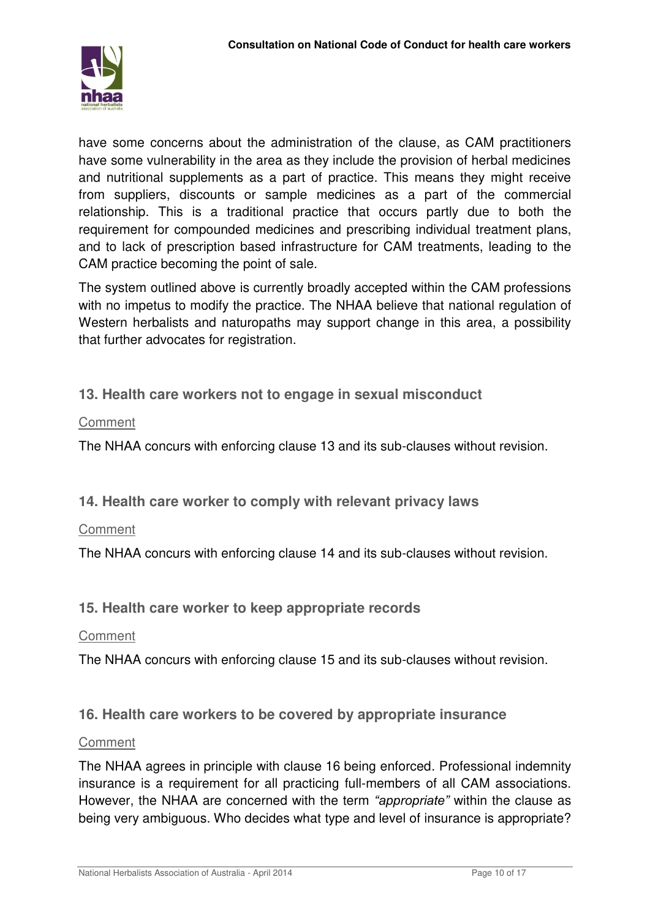

have some concerns about the administration of the clause, as CAM practitioners have some vulnerability in the area as they include the provision of herbal medicines and nutritional supplements as a part of practice. This means they might receive from suppliers, discounts or sample medicines as a part of the commercial relationship. This is a traditional practice that occurs partly due to both the requirement for compounded medicines and prescribing individual treatment plans, and to lack of prescription based infrastructure for CAM treatments, leading to the CAM practice becoming the point of sale.

The system outlined above is currently broadly accepted within the CAM professions with no impetus to modify the practice. The NHAA believe that national regulation of Western herbalists and naturopaths may support change in this area, a possibility that further advocates for registration.

# **13. Health care workers not to engage in sexual misconduct**

# **Comment**

The NHAA concurs with enforcing clause 13 and its sub-clauses without revision.

**14. Health care worker to comply with relevant privacy laws**

# **Comment**

The NHAA concurs with enforcing clause 14 and its sub-clauses without revision.

**15. Health care worker to keep appropriate records** 

# **Comment**

The NHAA concurs with enforcing clause 15 and its sub-clauses without revision.

# **16. Health care workers to be covered by appropriate insurance**

# **Comment**

The NHAA agrees in principle with clause 16 being enforced. Professional indemnity insurance is a requirement for all practicing full-members of all CAM associations. However, the NHAA are concerned with the term *"appropriate"* within the clause as being very ambiguous. Who decides what type and level of insurance is appropriate?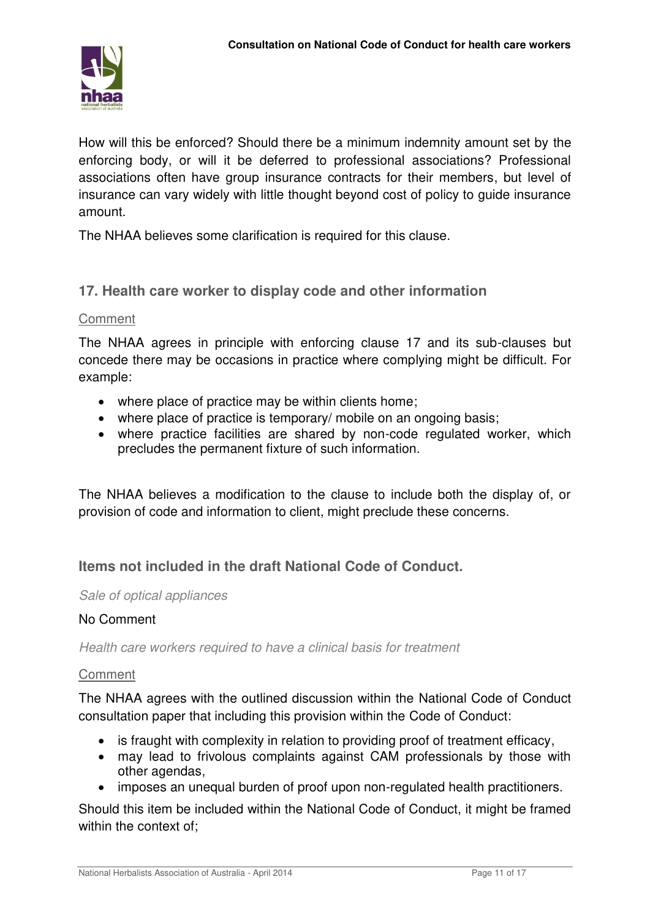

How will this be enforced? Should there be a minimum indemnity amount set by the enforcing body, or will it be deferred to professional associations? Professional associations often have group insurance contracts for their members, but level of insurance can vary widely with little thought beyond cost of policy to guide insurance amount.

The NHAA believes some clarification is required for this clause.

# **17. Health care worker to display code and other information**

#### Comment

The NHAA agrees in principle with enforcing clause 17 and its sub-clauses but concede there may be occasions in practice where complying might be difficult. For example:

- where place of practice may be within clients home;
- where place of practice is temporary/ mobile on an ongoing basis;
- where practice facilities are shared by non-code regulated worker, which precludes the permanent fixture of such information.

The NHAA believes a modification to the clause to include both the display of, or provision of code and information to client, might preclude these concerns.

# **Items not included in the draft National Code of Conduct.**

#### *Sale of optical appliances*

#### No Comment

*Health care workers required to have a clinical basis for treatment* 

#### **Comment**

The NHAA agrees with the outlined discussion within the National Code of Conduct consultation paper that including this provision within the Code of Conduct:

- is fraught with complexity in relation to providing proof of treatment efficacy,
- may lead to frivolous complaints against CAM professionals by those with other agendas,
- imposes an unequal burden of proof upon non-regulated health practitioners.

Should this item be included within the National Code of Conduct, it might be framed within the context of;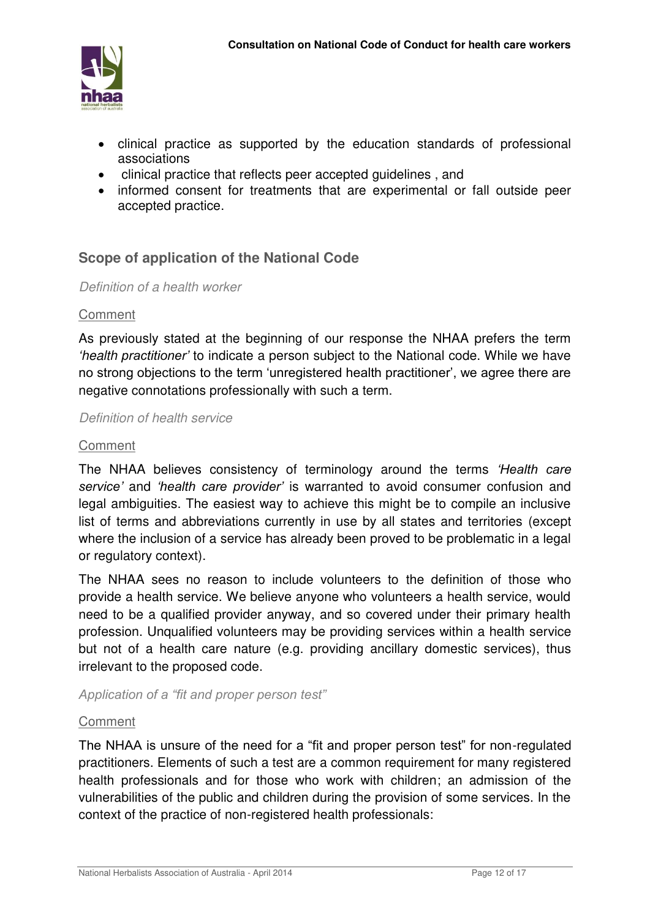

- clinical practice as supported by the education standards of professional associations
- clinical practice that reflects peer accepted guidelines , and
- informed consent for treatments that are experimental or fall outside peer accepted practice.

# **Scope of application of the National Code**

#### *Definition of a health worker*

# Comment

As previously stated at the beginning of our response the NHAA prefers the term *'health practitioner'* to indicate a person subject to the National code. While we have no strong objections to the term 'unregistered health practitioner', we agree there are negative connotations professionally with such a term.

#### *Definition of health service*

#### Comment

The NHAA believes consistency of terminology around the terms *'Health care service'* and *'health care provider'* is warranted to avoid consumer confusion and legal ambiguities. The easiest way to achieve this might be to compile an inclusive list of terms and abbreviations currently in use by all states and territories (except where the inclusion of a service has already been proved to be problematic in a legal or regulatory context).

The NHAA sees no reason to include volunteers to the definition of those who provide a health service. We believe anyone who volunteers a health service, would need to be a qualified provider anyway, and so covered under their primary health profession. Unqualified volunteers may be providing services within a health service but not of a health care nature (e.g. providing ancillary domestic services), thus irrelevant to the proposed code.

*Application of a "fit and proper person test"*

# Comment

The NHAA is unsure of the need for a "fit and proper person test" for non-regulated practitioners. Elements of such a test are a common requirement for many registered health professionals and for those who work with children; an admission of the vulnerabilities of the public and children during the provision of some services. In the context of the practice of non-registered health professionals: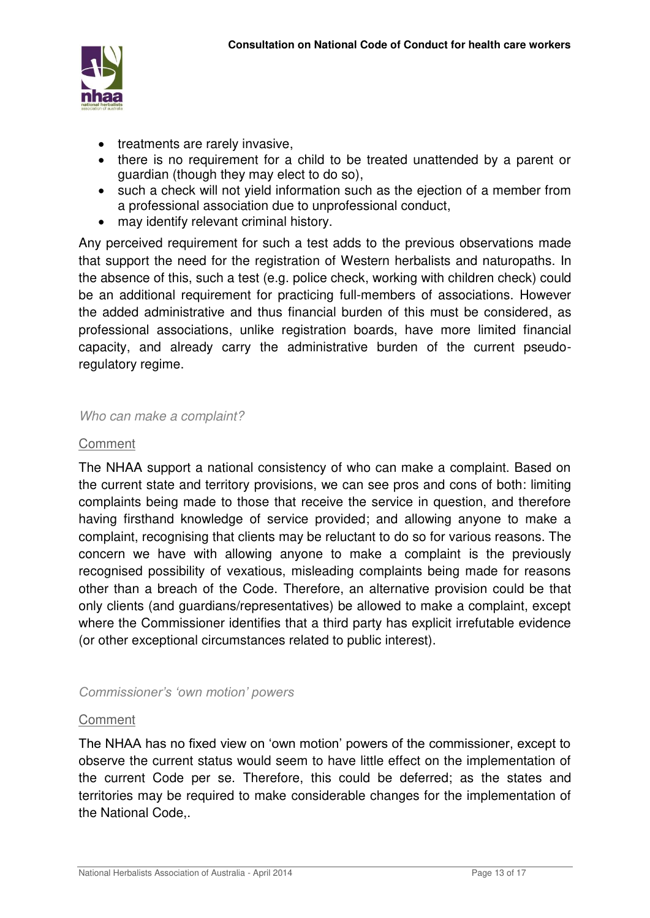

- treatments are rarely invasive,
- there is no requirement for a child to be treated unattended by a parent or guardian (though they may elect to do so),
- such a check will not yield information such as the ejection of a member from a professional association due to unprofessional conduct,
- may identify relevant criminal history.

Any perceived requirement for such a test adds to the previous observations made that support the need for the registration of Western herbalists and naturopaths. In the absence of this, such a test (e.g. police check, working with children check) could be an additional requirement for practicing full-members of associations. However the added administrative and thus financial burden of this must be considered, as professional associations, unlike registration boards, have more limited financial capacity, and already carry the administrative burden of the current pseudoregulatory regime.

#### *Who can make a complaint?*

# **Comment**

The NHAA support a national consistency of who can make a complaint. Based on the current state and territory provisions, we can see pros and cons of both: limiting complaints being made to those that receive the service in question, and therefore having firsthand knowledge of service provided; and allowing anyone to make a complaint, recognising that clients may be reluctant to do so for various reasons. The concern we have with allowing anyone to make a complaint is the previously recognised possibility of vexatious, misleading complaints being made for reasons other than a breach of the Code. Therefore, an alternative provision could be that only clients (and guardians/representatives) be allowed to make a complaint, except where the Commissioner identifies that a third party has explicit irrefutable evidence (or other exceptional circumstances related to public interest).

# *Commissioner's 'own motion' powers*

# Comment

The NHAA has no fixed view on 'own motion' powers of the commissioner, except to observe the current status would seem to have little effect on the implementation of the current Code per se. Therefore, this could be deferred; as the states and territories may be required to make considerable changes for the implementation of the National Code,.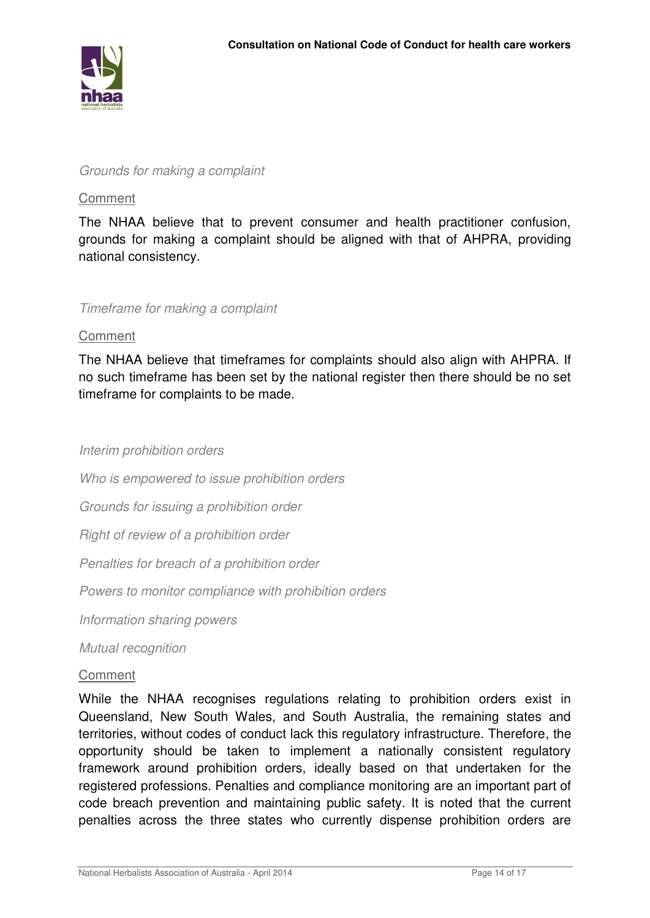

#### *Grounds for making a complaint*

#### **Comment**

The NHAA believe that to prevent consumer and health practitioner confusion, grounds for making a complaint should be aligned with that of AHPRA, providing national consistency.

#### *Timeframe for making a complaint*

#### Comment

The NHAA believe that timeframes for complaints should also align with AHPRA. If no such timeframe has been set by the national register then there should be no set timeframe for complaints to be made.

#### *Interim prohibition orders*

*Who is empowered to issue prohibition orders* 

*Grounds for issuing a prohibition order* 

*Right of review of a prohibition order* 

*Penalties for breach of a prohibition order* 

*Powers to monitor compliance with prohibition orders* 

*Information sharing powers* 

*Mutual recognition* 

#### Comment

While the NHAA recognises regulations relating to prohibition orders exist in Queensland, New South Wales, and South Australia, the remaining states and territories, without codes of conduct lack this regulatory infrastructure. Therefore, the opportunity should be taken to implement a nationally consistent regulatory framework around prohibition orders, ideally based on that undertaken for the registered professions. Penalties and compliance monitoring are an important part of code breach prevention and maintaining public safety. It is noted that the current penalties across the three states who currently dispense prohibition orders are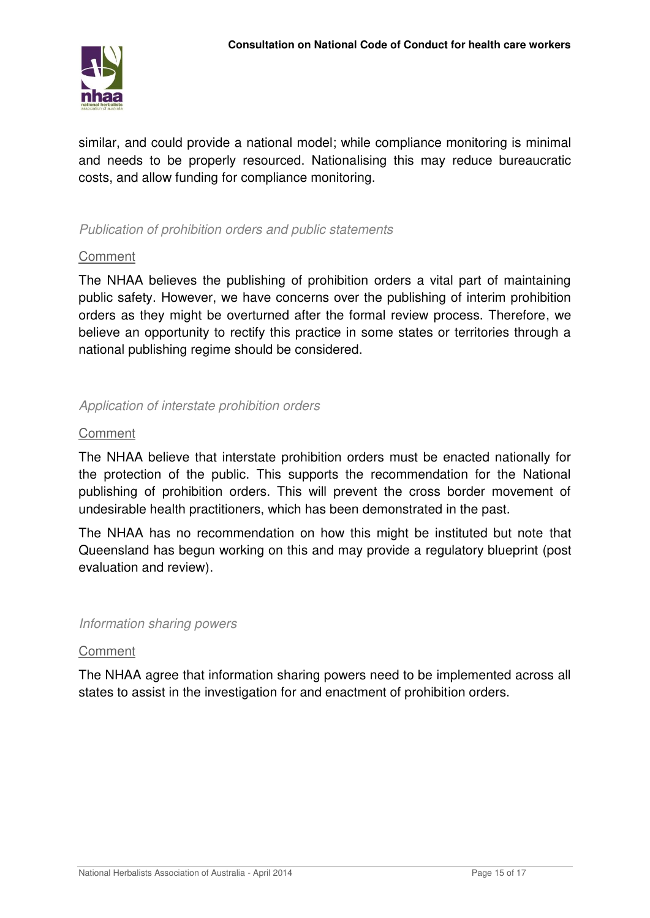

similar, and could provide a national model; while compliance monitoring is minimal and needs to be properly resourced. Nationalising this may reduce bureaucratic costs, and allow funding for compliance monitoring.

# *Publication of prohibition orders and public statements*

# Comment

The NHAA believes the publishing of prohibition orders a vital part of maintaining public safety. However, we have concerns over the publishing of interim prohibition orders as they might be overturned after the formal review process. Therefore, we believe an opportunity to rectify this practice in some states or territories through a national publishing regime should be considered.

# *Application of interstate prohibition orders*

# Comment

The NHAA believe that interstate prohibition orders must be enacted nationally for the protection of the public. This supports the recommendation for the National publishing of prohibition orders. This will prevent the cross border movement of undesirable health practitioners, which has been demonstrated in the past.

The NHAA has no recommendation on how this might be instituted but note that Queensland has begun working on this and may provide a regulatory blueprint (post evaluation and review).

# *Information sharing powers*

# **Comment**

The NHAA agree that information sharing powers need to be implemented across all states to assist in the investigation for and enactment of prohibition orders.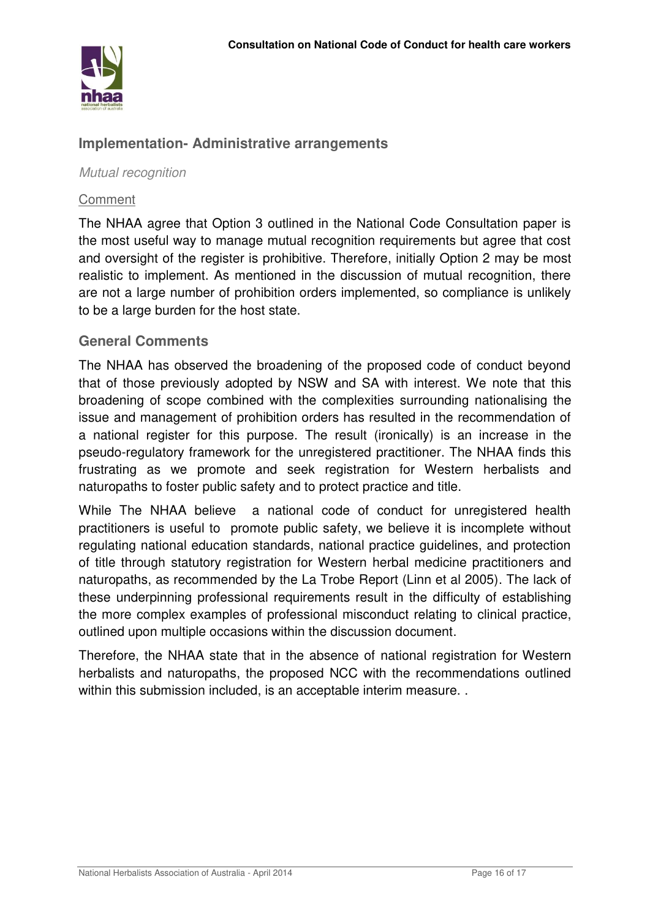

# **Implementation- Administrative arrangements**

*Mutual recognition* 

#### Comment

The NHAA agree that Option 3 outlined in the National Code Consultation paper is the most useful way to manage mutual recognition requirements but agree that cost and oversight of the register is prohibitive. Therefore, initially Option 2 may be most realistic to implement. As mentioned in the discussion of mutual recognition, there are not a large number of prohibition orders implemented, so compliance is unlikely to be a large burden for the host state.

# **General Comments**

The NHAA has observed the broadening of the proposed code of conduct beyond that of those previously adopted by NSW and SA with interest. We note that this broadening of scope combined with the complexities surrounding nationalising the issue and management of prohibition orders has resulted in the recommendation of a national register for this purpose. The result (ironically) is an increase in the pseudo-regulatory framework for the unregistered practitioner. The NHAA finds this frustrating as we promote and seek registration for Western herbalists and naturopaths to foster public safety and to protect practice and title.

While The NHAA believe a national code of conduct for unregistered health practitioners is useful to promote public safety, we believe it is incomplete without regulating national education standards, national practice guidelines, and protection of title through statutory registration for Western herbal medicine practitioners and naturopaths, as recommended by the La Trobe Report (Linn et al 2005). The lack of these underpinning professional requirements result in the difficulty of establishing the more complex examples of professional misconduct relating to clinical practice, outlined upon multiple occasions within the discussion document.

Therefore, the NHAA state that in the absence of national registration for Western herbalists and naturopaths, the proposed NCC with the recommendations outlined within this submission included, is an acceptable interim measure. .